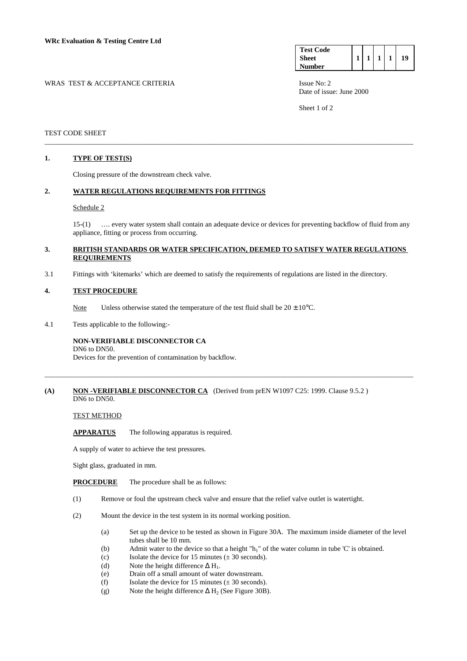| <b>Test Code</b> |  |  |    |
|------------------|--|--|----|
| <b>Sheet</b>     |  |  | 19 |
| √umber           |  |  |    |

WRAS TEST & ACCEPTANCE CRITERIA ISSUE No: 2

Date of issue: June 2000

Sheet 1 of 2

## TEST CODE SHEET

### **1. TYPE OF TEST(S)**

Closing pressure of the downstream check valve.

# **2. WATER REGULATIONS REQUIREMENTS FOR FITTINGS**

#### Schedule 2

 15-(1) …. every water system shall contain an adequate device or devices for preventing backflow of fluid from any appliance, fitting or process from occurring.

## **3. BRITISH STANDARDS OR WATER SPECIFICATION, DEEMED TO SATISFY WATER REGULATIONS REQUIREMENTS**

\_\_\_\_\_\_\_\_\_\_\_\_\_\_\_\_\_\_\_\_\_\_\_\_\_\_\_\_\_\_\_\_\_\_\_\_\_\_\_\_\_\_\_\_\_\_\_\_\_\_\_\_\_\_\_\_\_\_\_\_\_\_\_\_\_\_\_\_\_\_\_\_\_\_\_\_\_\_\_\_\_\_\_\_\_\_\_\_\_\_\_\_\_\_\_\_\_\_\_\_\_\_\_

3.1 Fittings with 'kitemarks' which are deemed to satisfy the requirements of regulations are listed in the directory.

#### **4. TEST PROCEDURE**

Note Unless otherwise stated the temperature of the test fluid shall be  $20 \pm 10^{\circ}$ C.

4.1 Tests applicable to the following:-

## **NON-VERIFIABLE DISCONNECTOR CA**

DN6 to DN50.

Devices for the prevention of contamination by backflow.

## **(A)** NON-VERIFIABLE DISCONNECTOR CA (Derived from prEN W1097 C25: 1999. Clause 9.5.2) DN6 to DN50.

\_\_\_\_\_\_\_\_\_\_\_\_\_\_\_\_\_\_\_\_\_\_\_\_\_\_\_\_\_\_\_\_\_\_\_\_\_\_\_\_\_\_\_\_\_\_\_\_\_\_\_\_\_\_\_\_\_\_\_\_\_\_\_\_\_\_\_\_\_\_\_\_\_\_\_\_\_\_\_\_\_\_\_\_\_\_\_\_\_\_\_\_\_\_\_\_\_\_\_\_\_\_\_

#### TEST METHOD

**APPARATUS** The following apparatus is required.

A supply of water to achieve the test pressures.

Sight glass, graduated in mm.

- **PROCEDURE** The procedure shall be as follows:
- (1) Remove or foul the upstream check valve and ensure that the relief valve outlet is watertight.
- (2) Mount the device in the test system in its normal working position.
	- (a) Set up the device to be tested as shown in Figure 30A. The maximum inside diameter of the level tubes shall be 10 mm.
	- (b) Admit water to the device so that a height " $h_1$ " of the water column in tube 'C' is obtained.
	- (c) Isolate the device for 15 minutes  $(\pm 30 \text{ seconds})$ .
	- (d) Note the height difference  $\Delta H_1$ .
	- (e) Drain off a small amount of water downstream.
	- (f) Isolate the device for 15 minutes  $(\pm 30 \text{ seconds})$ .
	- (g) Note the height difference  $\Delta H_2$  (See Figure 30B).